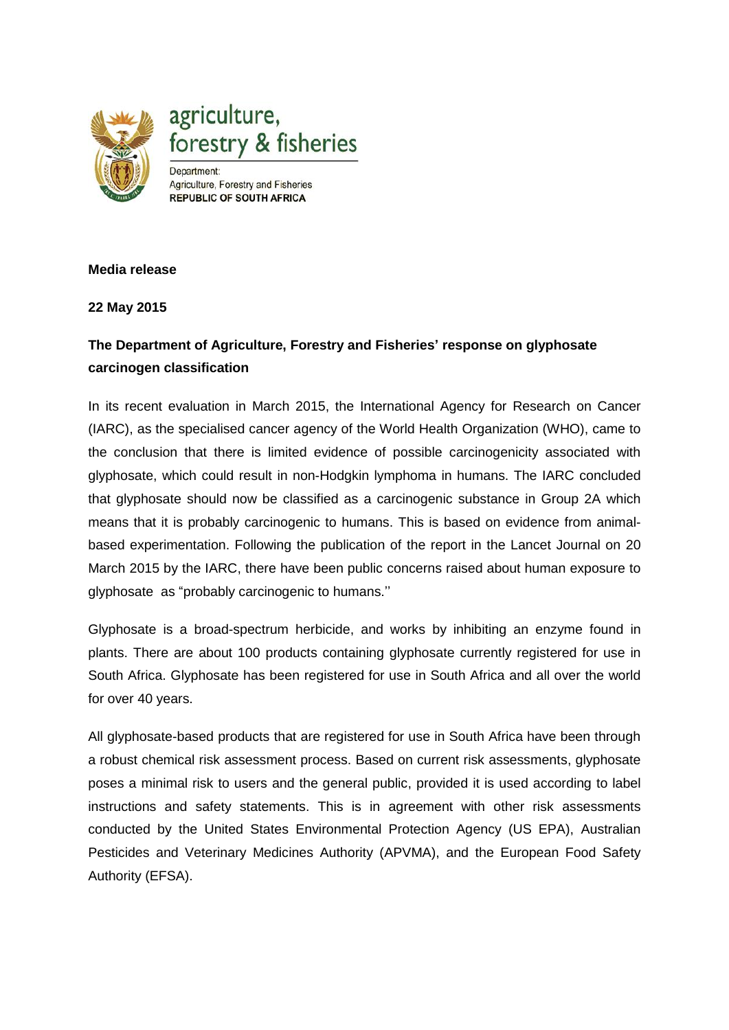

## **Media release**

**22 May 2015**

## **The Department of Agriculture, Forestry and Fisheries' response on glyphosate carcinogen classification**

In its recent evaluation in March 2015, the International Agency for Research on Cancer (IARC), as the specialised cancer agency of the World Health Organization (WHO), came to the conclusion that there is limited evidence of possible carcinogenicity associated with glyphosate, which could result in non-Hodgkin lymphoma in humans. The IARC concluded that glyphosate should now be classified as a carcinogenic substance in Group 2A which means that it is probably carcinogenic to humans. This is based on evidence from animalbased experimentation. Following the publication of the report in the Lancet Journal on 20 March 2015 by the IARC, there have been public concerns raised about human exposure to glyphosate [as "probably carcinogenic to humans](http://www.iarc.fr/en/about/index.php).''

Glyphosate is a broad-spectrum herbicide, and works by inhibiting an enzyme found in plants. There are about 100 products containing glyphosate currently registered for use in South Africa. Glyphosate has been registered for use in South Africa and all over the world for over 40 years.

All glyphosate-based products that are registered for use in South Africa have been through a robust chemical risk assessment process. Based on current risk assessments, glyphosate poses a minimal risk to users and the general public, provided it is used according to label instructions and safety statements. This is in agreement with other risk assessments conducted by the United States Environmental Protection Agency (US EPA), Australian Pesticides and Veterinary Medicines Authority (APVMA), and the European Food Safety Authority (EFSA).